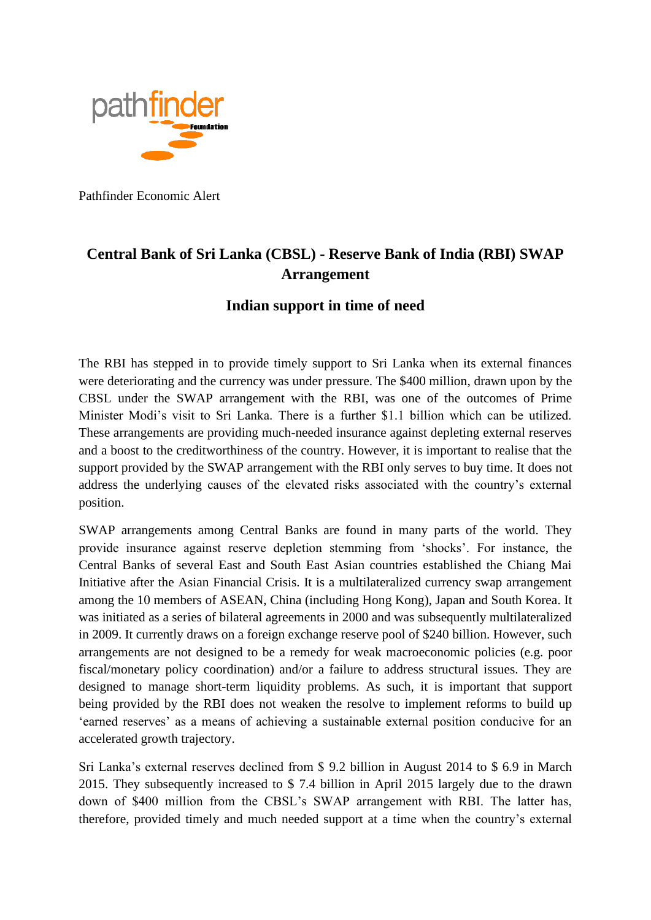

Pathfinder Economic Alert

## **Central Bank of Sri Lanka (CBSL) - Reserve Bank of India (RBI) SWAP Arrangement**

## **Indian support in time of need**

The RBI has stepped in to provide timely support to Sri Lanka when its external finances were deteriorating and the currency was under pressure. The \$400 million, drawn upon by the CBSL under the SWAP arrangement with the RBI, was one of the outcomes of Prime Minister Modi's visit to Sri Lanka. There is a further \$1.1 billion which can be utilized. These arrangements are providing much-needed insurance against depleting external reserves and a boost to the creditworthiness of the country. However, it is important to realise that the support provided by the SWAP arrangement with the RBI only serves to buy time. It does not address the underlying causes of the elevated risks associated with the country's external position.

SWAP arrangements among Central Banks are found in many parts of the world. They provide insurance against reserve depletion stemming from 'shocks'. For instance, the Central Banks of several East and South East Asian countries established the Chiang Mai Initiative after the Asian Financial Crisis. It is a multilateralized currency swap arrangement among the 10 members of ASEAN, China (including Hong Kong), Japan and South Korea. It was initiated as a series of bilateral agreements in 2000 and was subsequently multilateralized in 2009. It currently draws on a foreign exchange reserve pool of \$240 billion. However, such arrangements are not designed to be a remedy for weak macroeconomic policies (e.g. poor fiscal/monetary policy coordination) and/or a failure to address structural issues. They are designed to manage short-term liquidity problems. As such, it is important that support being provided by the RBI does not weaken the resolve to implement reforms to build up 'earned reserves' as a means of achieving a sustainable external position conducive for an accelerated growth trajectory.

Sri Lanka's external reserves declined from \$ 9.2 billion in August 2014 to \$ 6.9 in March 2015. They subsequently increased to \$ 7.4 billion in April 2015 largely due to the drawn down of \$400 million from the CBSL's SWAP arrangement with RBI. The latter has, therefore, provided timely and much needed support at a time when the country's external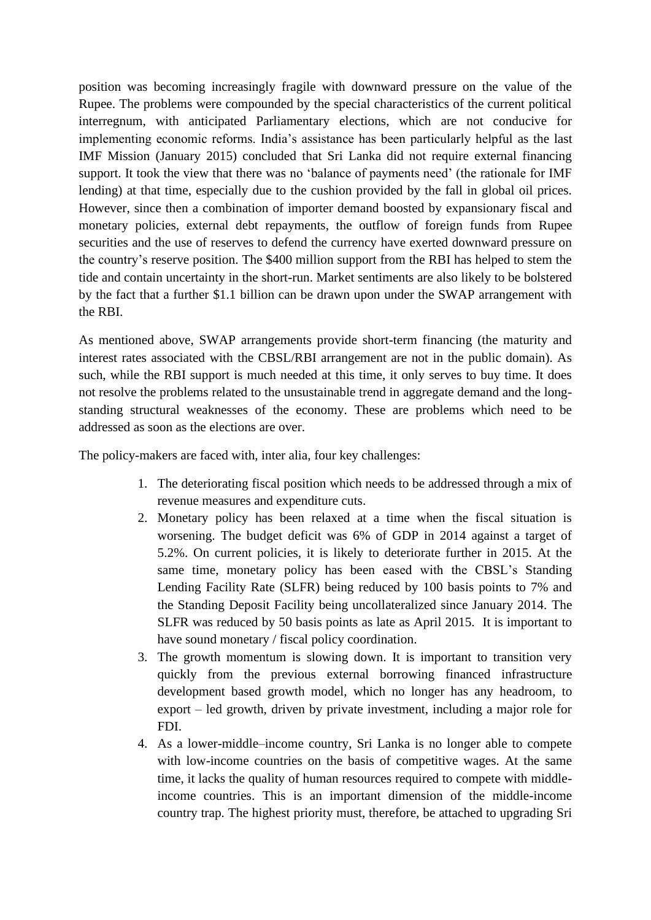position was becoming increasingly fragile with downward pressure on the value of the Rupee. The problems were compounded by the special characteristics of the current political interregnum, with anticipated Parliamentary elections, which are not conducive for implementing economic reforms. India's assistance has been particularly helpful as the last IMF Mission (January 2015) concluded that Sri Lanka did not require external financing support. It took the view that there was no 'balance of payments need' (the rationale for IMF lending) at that time, especially due to the cushion provided by the fall in global oil prices. However, since then a combination of importer demand boosted by expansionary fiscal and monetary policies, external debt repayments, the outflow of foreign funds from Rupee securities and the use of reserves to defend the currency have exerted downward pressure on the country's reserve position. The \$400 million support from the RBI has helped to stem the tide and contain uncertainty in the short-run. Market sentiments are also likely to be bolstered by the fact that a further \$1.1 billion can be drawn upon under the SWAP arrangement with the RBI.

As mentioned above, SWAP arrangements provide short-term financing (the maturity and interest rates associated with the CBSL/RBI arrangement are not in the public domain). As such, while the RBI support is much needed at this time, it only serves to buy time. It does not resolve the problems related to the unsustainable trend in aggregate demand and the longstanding structural weaknesses of the economy. These are problems which need to be addressed as soon as the elections are over.

The policy-makers are faced with, inter alia, four key challenges:

- 1. The deteriorating fiscal position which needs to be addressed through a mix of revenue measures and expenditure cuts.
- 2. Monetary policy has been relaxed at a time when the fiscal situation is worsening. The budget deficit was 6% of GDP in 2014 against a target of 5.2%. On current policies, it is likely to deteriorate further in 2015. At the same time, monetary policy has been eased with the CBSL's Standing Lending Facility Rate (SLFR) being reduced by 100 basis points to 7% and the Standing Deposit Facility being uncollateralized since January 2014. The SLFR was reduced by 50 basis points as late as April 2015. It is important to have sound monetary / fiscal policy coordination.
- 3. The growth momentum is slowing down. It is important to transition very quickly from the previous external borrowing financed infrastructure development based growth model, which no longer has any headroom, to export – led growth, driven by private investment, including a major role for FDI.
- 4. As a lower-middle–income country, Sri Lanka is no longer able to compete with low-income countries on the basis of competitive wages. At the same time, it lacks the quality of human resources required to compete with middleincome countries. This is an important dimension of the middle-income country trap. The highest priority must, therefore, be attached to upgrading Sri